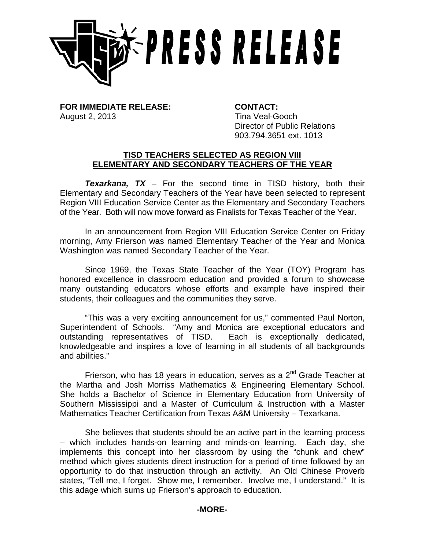

**FOR IMMEDIATE RELEASE: CONTACT:**

August 2, 2013 **Tina Veal-Gooch** Director of Public Relations 903.794.3651 ext. 1013

## **TISD TEACHERS SELECTED AS REGION VIII ELEMENTARY AND SECONDARY TEACHERS OF THE YEAR**

*Texarkana, TX* – For the second time in TISD history, both their Elementary and Secondary Teachers of the Year have been selected to represent Region VIII Education Service Center as the Elementary and Secondary Teachers of the Year. Both will now move forward as Finalists for Texas Teacher of the Year.

In an announcement from Region VIII Education Service Center on Friday morning, Amy Frierson was named Elementary Teacher of the Year and Monica Washington was named Secondary Teacher of the Year.

Since 1969, the Texas State Teacher of the Year (TOY) Program has honored excellence in classroom education and provided a forum to showcase many outstanding educators whose efforts and example have inspired their students, their colleagues and the communities they serve.

"This was a very exciting announcement for us," commented Paul Norton, Superintendent of Schools. "Amy and Monica are exceptional educators and outstanding representatives of TISD. Each is exceptionally dedicated, knowledgeable and inspires a love of learning in all students of all backgrounds and abilities."

Frierson, who has 18 years in education, serves as a  $2^{nd}$  Grade Teacher at the Martha and Josh Morriss Mathematics & Engineering Elementary School. She holds a Bachelor of Science in Elementary Education from University of Southern Mississippi and a Master of Curriculum & Instruction with a Master Mathematics Teacher Certification from Texas A&M University – Texarkana.

She believes that students should be an active part in the learning process – which includes hands-on learning and minds-on learning. Each day, she implements this concept into her classroom by using the "chunk and chew" method which gives students direct instruction for a period of time followed by an opportunity to do that instruction through an activity. An Old Chinese Proverb states, "Tell me, I forget. Show me, I remember. Involve me, I understand." It is this adage which sums up Frierson's approach to education.